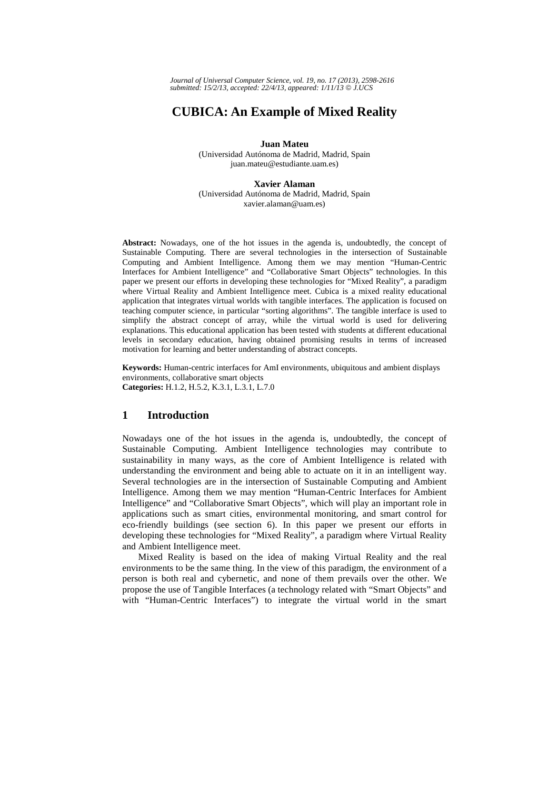*Journal of Universal Computer Science, vol. 19, no. 17 (2013), 2598-2616 submitted: 15/2/13, accepted: 22/4/13, appeared: 1/11/13* © *J.UCS*

# **CUBICA: An Example of Mixed Reality**

**Juan Mateu** 

(Universidad Autónoma de Madrid, Madrid, Spain juan.mateu@estudiante.uam.es)

**Xavier Alaman** 

(Universidad Autónoma de Madrid, Madrid, Spain xavier.alaman@uam.es)

**Abstract:** Nowadays, one of the hot issues in the agenda is, undoubtedly, the concept of Sustainable Computing. There are several technologies in the intersection of Sustainable Computing and Ambient Intelligence. Among them we may mention "Human-Centric Interfaces for Ambient Intelligence" and "Collaborative Smart Objects" technologies. In this paper we present our efforts in developing these technologies for "Mixed Reality", a paradigm where Virtual Reality and Ambient Intelligence meet. Cubica is a mixed reality educational application that integrates virtual worlds with tangible interfaces. The application is focused on teaching computer science, in particular "sorting algorithms". The tangible interface is used to simplify the abstract concept of array, while the virtual world is used for delivering explanations. This educational application has been tested with students at different educational levels in secondary education, having obtained promising results in terms of increased motivation for learning and better understanding of abstract concepts.

**Keywords:** Human-centric interfaces for AmI environments, ubiquitous and ambient displays environments, collaborative smart objects **Categories:** H.1.2, H.5.2, K.3.1, L.3.1, L.7.0

### **1 Introduction**

Nowadays one of the hot issues in the agenda is, undoubtedly, the concept of Sustainable Computing. Ambient Intelligence technologies may contribute to sustainability in many ways, as the core of Ambient Intelligence is related with understanding the environment and being able to actuate on it in an intelligent way. Several technologies are in the intersection of Sustainable Computing and Ambient Intelligence. Among them we may mention "Human-Centric Interfaces for Ambient Intelligence" and "Collaborative Smart Objects", which will play an important role in applications such as smart cities, environmental monitoring, and smart control for eco-friendly buildings (see section 6). In this paper we present our efforts in developing these technologies for "Mixed Reality", a paradigm where Virtual Reality and Ambient Intelligence meet.

Mixed Reality is based on the idea of making Virtual Reality and the real environments to be the same thing. In the view of this paradigm, the environment of a person is both real and cybernetic, and none of them prevails over the other. We propose the use of Tangible Interfaces (a technology related with "Smart Objects" and with "Human-Centric Interfaces") to integrate the virtual world in the smart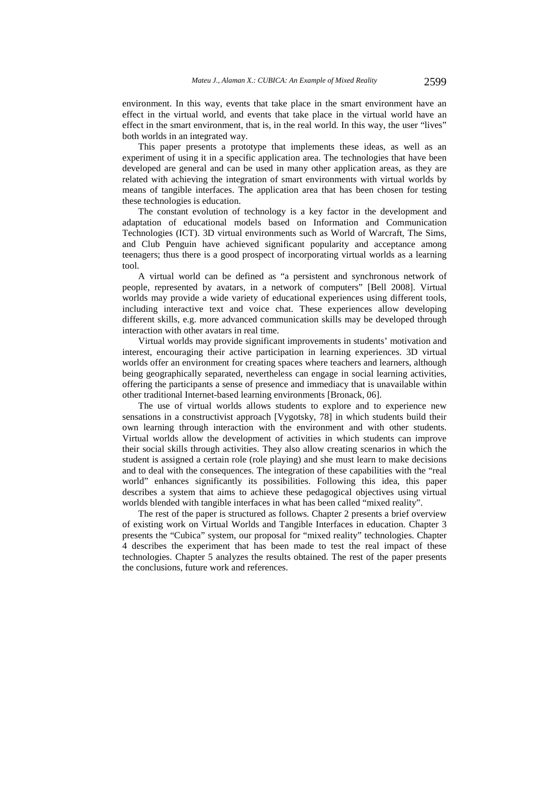environment. In this way, events that take place in the smart environment have an effect in the virtual world, and events that take place in the virtual world have an effect in the smart environment, that is, in the real world. In this way, the user "lives" both worlds in an integrated way.

This paper presents a prototype that implements these ideas, as well as an experiment of using it in a specific application area. The technologies that have been developed are general and can be used in many other application areas, as they are related with achieving the integration of smart environments with virtual worlds by means of tangible interfaces. The application area that has been chosen for testing these technologies is education.

The constant evolution of technology is a key factor in the development and adaptation of educational models based on Information and Communication Technologies (ICT). 3D virtual environments such as World of Warcraft, The Sims, and Club Penguin have achieved significant popularity and acceptance among teenagers; thus there is a good prospect of incorporating virtual worlds as a learning tool.

A virtual world can be defined as "a persistent and synchronous network of people, represented by avatars, in a network of computers" [Bell 2008]. Virtual worlds may provide a wide variety of educational experiences using different tools, including interactive text and voice chat. These experiences allow developing different skills, e.g. more advanced communication skills may be developed through interaction with other avatars in real time.

Virtual worlds may provide significant improvements in students' motivation and interest, encouraging their active participation in learning experiences. 3D virtual worlds offer an environment for creating spaces where teachers and learners, although being geographically separated, nevertheless can engage in social learning activities, offering the participants a sense of presence and immediacy that is unavailable within other traditional Internet-based learning environments [Bronack, 06].

The use of virtual worlds allows students to explore and to experience new sensations in a constructivist approach [Vygotsky, 78] in which students build their own learning through interaction with the environment and with other students. Virtual worlds allow the development of activities in which students can improve their social skills through activities. They also allow creating scenarios in which the student is assigned a certain role (role playing) and she must learn to make decisions and to deal with the consequences. The integration of these capabilities with the "real world" enhances significantly its possibilities. Following this idea, this paper describes a system that aims to achieve these pedagogical objectives using virtual worlds blended with tangible interfaces in what has been called "mixed reality".

The rest of the paper is structured as follows. Chapter 2 presents a brief overview of existing work on Virtual Worlds and Tangible Interfaces in education. Chapter 3 presents the "Cubica" system, our proposal for "mixed reality" technologies. Chapter 4 describes the experiment that has been made to test the real impact of these technologies. Chapter 5 analyzes the results obtained. The rest of the paper presents the conclusions, future work and references.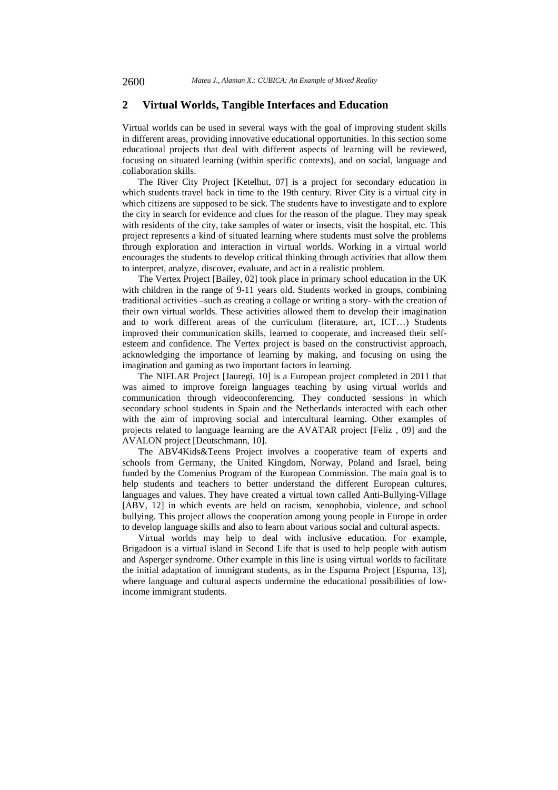#### **2 Virtual Worlds, Tangible Interfaces and Education**

Virtual worlds can be used in several ways with the goal of improving student skills in different areas, providing innovative educational opportunities. In this section some educational projects that deal with different aspects of learning will be reviewed, focusing on situated learning (within specific contexts), and on social, language and collaboration skills.

The River City Project [Ketelhut, 07] is a project for secondary education in which students travel back in time to the 19th century. River City is a virtual city in which citizens are supposed to be sick. The students have to investigate and to explore the city in search for evidence and clues for the reason of the plague. They may speak with residents of the city, take samples of water or insects, visit the hospital, etc. This project represents a kind of situated learning where students must solve the problems through exploration and interaction in virtual worlds. Working in a virtual world encourages the students to develop critical thinking through activities that allow them to interpret, analyze, discover, evaluate, and act in a realistic problem.

The Vertex Project [Bailey, 02] took place in primary school education in the UK with children in the range of 9-11 years old. Students worked in groups, combining traditional activities –such as creating a collage or writing a story- with the creation of their own virtual worlds. These activities allowed them to develop their imagination and to work different areas of the curriculum (literature, art, ICT…) Students improved their communication skills, learned to cooperate, and increased their selfesteem and confidence. The Vertex project is based on the constructivist approach, acknowledging the importance of learning by making, and focusing on using the imagination and gaming as two important factors in learning.

The NIFLAR Project [Jauregi, 10] is a European project completed in 2011 that was aimed to improve foreign languages teaching by using virtual worlds and communication through videoconferencing. They conducted sessions in which secondary school students in Spain and the Netherlands interacted with each other with the aim of improving social and intercultural learning. Other examples of projects related to language learning are the AVATAR project [Feliz , 09] and the AVALON project [Deutschmann, 10].

The ABV4Kids&Teens Project involves a cooperative team of experts and schools from Germany, the United Kingdom, Norway, Poland and Israel, being funded by the Comenius Program of the European Commission. The main goal is to help students and teachers to better understand the different European cultures, languages and values. They have created a virtual town called Anti-Bullying-Village [ABV, 12] in which events are held on racism, xenophobia, violence, and school bullying. This project allows the cooperation among young people in Europe in order to develop language skills and also to learn about various social and cultural aspects.

Virtual worlds may help to deal with inclusive education. For example, Brigadoon is a virtual island in Second Life that is used to help people with autism and Asperger syndrome. Other example in this line is using virtual worlds to facilitate the initial adaptation of immigrant students, as in the Espurna Project [Espurna, 13], where language and cultural aspects undermine the educational possibilities of lowincome immigrant students.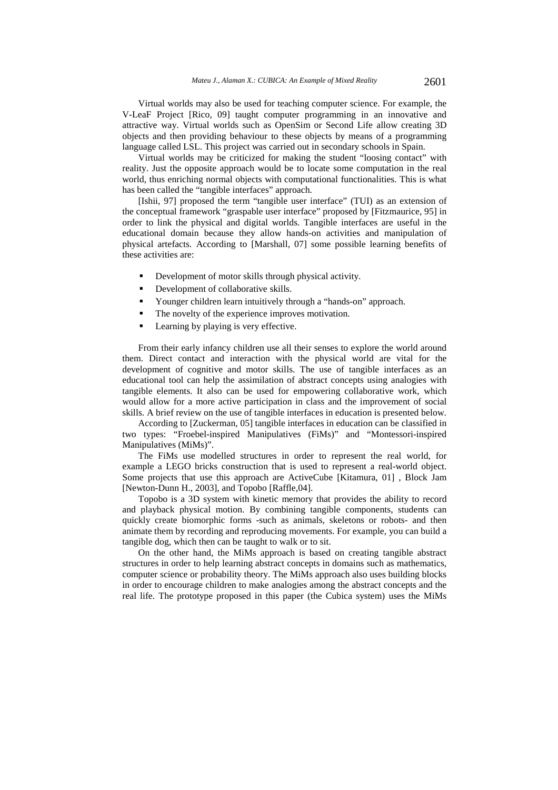Virtual worlds may also be used for teaching computer science. For example, the V-LeaF Project [Rico, 09] taught computer programming in an innovative and attractive way. Virtual worlds such as OpenSim or Second Life allow creating 3D objects and then providing behaviour to these objects by means of a programming language called LSL. This project was carried out in secondary schools in Spain.

Virtual worlds may be criticized for making the student "loosing contact" with reality. Just the opposite approach would be to locate some computation in the real world, thus enriching normal objects with computational functionalities. This is what has been called the "tangible interfaces" approach.

[Ishii, 97] proposed the term "tangible user interface" (TUI) as an extension of the conceptual framework "graspable user interface" proposed by [Fitzmaurice, 95] in order to link the physical and digital worlds. Tangible interfaces are useful in the educational domain because they allow hands-on activities and manipulation of physical artefacts. According to [Marshall, 07] some possible learning benefits of these activities are:

- Development of motor skills through physical activity.
- Development of collaborative skills.
- Younger children learn intuitively through a "hands-on" approach.
- The novelty of the experience improves motivation.
- **Learning by playing is very effective.**

From their early infancy children use all their senses to explore the world around them. Direct contact and interaction with the physical world are vital for the development of cognitive and motor skills. The use of tangible interfaces as an educational tool can help the assimilation of abstract concepts using analogies with tangible elements. It also can be used for empowering collaborative work, which would allow for a more active participation in class and the improvement of social skills. A brief review on the use of tangible interfaces in education is presented below.

According to [Zuckerman, 05] tangible interfaces in education can be classified in two types: "Froebel-inspired Manipulatives (FiMs)" and "Montessori-inspired Manipulatives (MiMs)".

The FiMs use modelled structures in order to represent the real world, for example a LEGO bricks construction that is used to represent a real-world object. Some projects that use this approach are ActiveCube [Kitamura, 01] , Block Jam [Newton-Dunn H., 2003], and Topobo [Raffle,04].

Topobo is a 3D system with kinetic memory that provides the ability to record and playback physical motion. By combining tangible components, students can quickly create biomorphic forms -such as animals, skeletons or robots- and then animate them by recording and reproducing movements. For example, you can build a tangible dog, which then can be taught to walk or to sit.

On the other hand, the MiMs approach is based on creating tangible abstract structures in order to help learning abstract concepts in domains such as mathematics, computer science or probability theory. The MiMs approach also uses building blocks in order to encourage children to make analogies among the abstract concepts and the real life. The prototype proposed in this paper (the Cubica system) uses the MiMs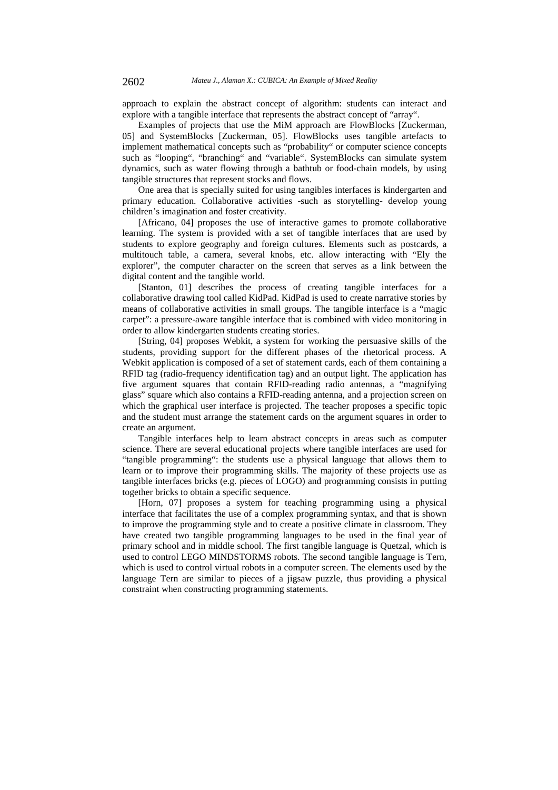approach to explain the abstract concept of algorithm: students can interact and explore with a tangible interface that represents the abstract concept of "array".

Examples of projects that use the MiM approach are FlowBlocks [Zuckerman, 05] and SystemBlocks [Zuckerman, 05]. FlowBlocks uses tangible artefacts to implement mathematical concepts such as "probability" or computer science concepts such as "looping", "branching" and "variable". SystemBlocks can simulate system dynamics, such as water flowing through a bathtub or food-chain models, by using tangible structures that represent stocks and flows.

One area that is specially suited for using tangibles interfaces is kindergarten and primary education. Collaborative activities -such as storytelling- develop young children's imagination and foster creativity.

[Africano, 04] proposes the use of interactive games to promote collaborative learning. The system is provided with a set of tangible interfaces that are used by students to explore geography and foreign cultures. Elements such as postcards, a multitouch table, a camera, several knobs, etc. allow interacting with "Ely the explorer", the computer character on the screen that serves as a link between the digital content and the tangible world.

[Stanton, 01] describes the process of creating tangible interfaces for a collaborative drawing tool called KidPad. KidPad is used to create narrative stories by means of collaborative activities in small groups. The tangible interface is a "magic carpet": a pressure-aware tangible interface that is combined with video monitoring in order to allow kindergarten students creating stories.

[String, 04] proposes Webkit, a system for working the persuasive skills of the students, providing support for the different phases of the rhetorical process. A Webkit application is composed of a set of statement cards, each of them containing a RFID tag (radio-frequency identification tag) and an output light. The application has five argument squares that contain RFID-reading radio antennas, a "magnifying glass" square which also contains a RFID-reading antenna, and a projection screen on which the graphical user interface is projected. The teacher proposes a specific topic and the student must arrange the statement cards on the argument squares in order to create an argument.

Tangible interfaces help to learn abstract concepts in areas such as computer science. There are several educational projects where tangible interfaces are used for "tangible programming": the students use a physical language that allows them to learn or to improve their programming skills. The majority of these projects use as tangible interfaces bricks (e.g. pieces of LOGO) and programming consists in putting together bricks to obtain a specific sequence.

[Horn, 07] proposes a system for teaching programming using a physical interface that facilitates the use of a complex programming syntax, and that is shown to improve the programming style and to create a positive climate in classroom. They have created two tangible programming languages to be used in the final year of primary school and in middle school. The first tangible language is Quetzal, which is used to control LEGO MINDSTORMS robots. The second tangible language is Tern, which is used to control virtual robots in a computer screen. The elements used by the language Tern are similar to pieces of a jigsaw puzzle, thus providing a physical constraint when constructing programming statements.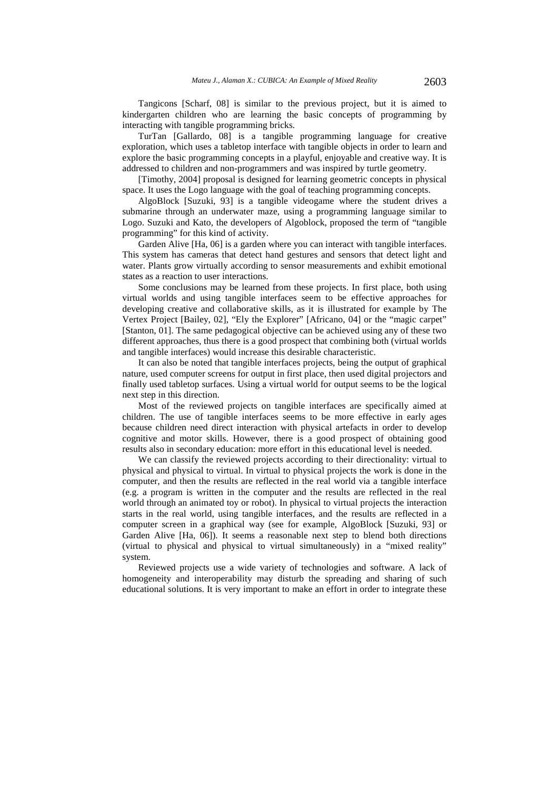Tangicons [Scharf, 08] is similar to the previous project, but it is aimed to kindergarten children who are learning the basic concepts of programming by interacting with tangible programming bricks.

TurTan [Gallardo, 08] is a tangible programming language for creative exploration, which uses a tabletop interface with tangible objects in order to learn and explore the basic programming concepts in a playful, enjoyable and creative way. It is addressed to children and non-programmers and was inspired by turtle geometry.

[Timothy, 2004] proposal is designed for learning geometric concepts in physical space. It uses the Logo language with the goal of teaching programming concepts.

AlgoBlock [Suzuki, 93] is a tangible videogame where the student drives a submarine through an underwater maze, using a programming language similar to Logo. Suzuki and Kato, the developers of Algoblock, proposed the term of "tangible programming" for this kind of activity.

Garden Alive [Ha, 06] is a garden where you can interact with tangible interfaces. This system has cameras that detect hand gestures and sensors that detect light and water. Plants grow virtually according to sensor measurements and exhibit emotional states as a reaction to user interactions.

Some conclusions may be learned from these projects. In first place, both using virtual worlds and using tangible interfaces seem to be effective approaches for developing creative and collaborative skills, as it is illustrated for example by The Vertex Project [Bailey, 02], "Ely the Explorer" [Africano, 04] or the "magic carpet" [Stanton, 01]. The same pedagogical objective can be achieved using any of these two different approaches, thus there is a good prospect that combining both (virtual worlds and tangible interfaces) would increase this desirable characteristic.

It can also be noted that tangible interfaces projects, being the output of graphical nature, used computer screens for output in first place, then used digital projectors and finally used tabletop surfaces. Using a virtual world for output seems to be the logical next step in this direction.

Most of the reviewed projects on tangible interfaces are specifically aimed at children. The use of tangible interfaces seems to be more effective in early ages because children need direct interaction with physical artefacts in order to develop cognitive and motor skills. However, there is a good prospect of obtaining good results also in secondary education: more effort in this educational level is needed.

We can classify the reviewed projects according to their directionality: virtual to physical and physical to virtual. In virtual to physical projects the work is done in the computer, and then the results are reflected in the real world via a tangible interface (e.g. a program is written in the computer and the results are reflected in the real world through an animated toy or robot). In physical to virtual projects the interaction starts in the real world, using tangible interfaces, and the results are reflected in a computer screen in a graphical way (see for example, AlgoBlock [Suzuki, 93] or Garden Alive [Ha, 06]). It seems a reasonable next step to blend both directions (virtual to physical and physical to virtual simultaneously) in a "mixed reality" system.

Reviewed projects use a wide variety of technologies and software. A lack of homogeneity and interoperability may disturb the spreading and sharing of such educational solutions. It is very important to make an effort in order to integrate these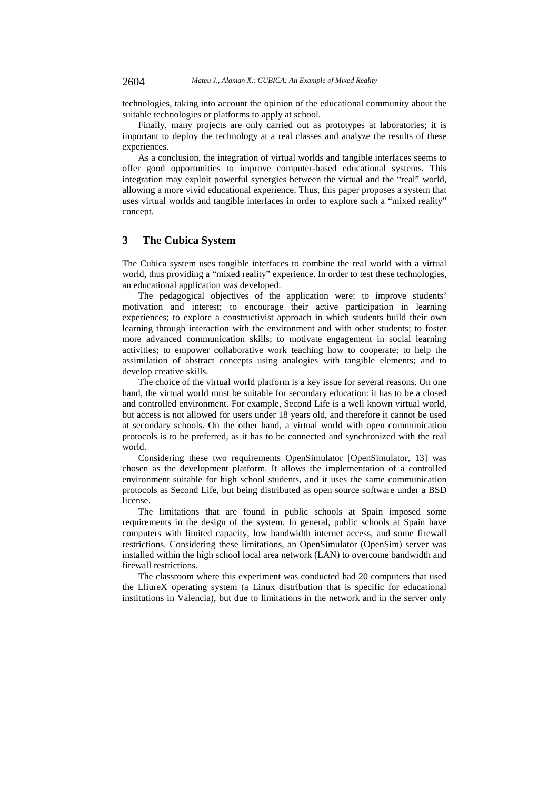technologies, taking into account the opinion of the educational community about the suitable technologies or platforms to apply at school.

Finally, many projects are only carried out as prototypes at laboratories; it is important to deploy the technology at a real classes and analyze the results of these experiences.

As a conclusion, the integration of virtual worlds and tangible interfaces seems to offer good opportunities to improve computer-based educational systems. This integration may exploit powerful synergies between the virtual and the "real" world, allowing a more vivid educational experience. Thus, this paper proposes a system that uses virtual worlds and tangible interfaces in order to explore such a "mixed reality" concept.

## **3 The Cubica System**

The Cubica system uses tangible interfaces to combine the real world with a virtual world, thus providing a "mixed reality" experience. In order to test these technologies, an educational application was developed.

The pedagogical objectives of the application were: to improve students' motivation and interest; to encourage their active participation in learning experiences; to explore a constructivist approach in which students build their own learning through interaction with the environment and with other students; to foster more advanced communication skills; to motivate engagement in social learning activities; to empower collaborative work teaching how to cooperate; to help the assimilation of abstract concepts using analogies with tangible elements; and to develop creative skills.

The choice of the virtual world platform is a key issue for several reasons. On one hand, the virtual world must be suitable for secondary education: it has to be a closed and controlled environment. For example, Second Life is a well known virtual world, but access is not allowed for users under 18 years old, and therefore it cannot be used at secondary schools. On the other hand, a virtual world with open communication protocols is to be preferred, as it has to be connected and synchronized with the real world.

Considering these two requirements OpenSimulator [OpenSimulator, 13] was chosen as the development platform. It allows the implementation of a controlled environment suitable for high school students, and it uses the same communication protocols as Second Life, but being distributed as open source software under a BSD license.

The limitations that are found in public schools at Spain imposed some requirements in the design of the system. In general, public schools at Spain have computers with limited capacity, low bandwidth internet access, and some firewall restrictions. Considering these limitations, an OpenSimulator (OpenSim) server was installed within the high school local area network (LAN) to overcome bandwidth and firewall restrictions.

The classroom where this experiment was conducted had 20 computers that used the LliureX operating system (a Linux distribution that is specific for educational institutions in Valencia), but due to limitations in the network and in the server only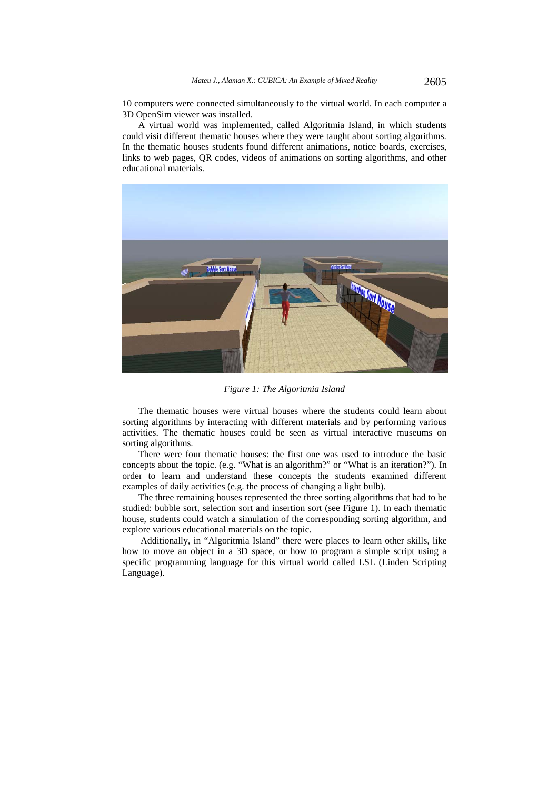10 computers were connected simultaneously to the virtual world. In each computer a 3D OpenSim viewer was installed.

A virtual world was implemented, called Algoritmia Island, in which students could visit different thematic houses where they were taught about sorting algorithms. In the thematic houses students found different animations, notice boards, exercises, links to web pages, QR codes, videos of animations on sorting algorithms, and other educational materials.



*Figure 1: The Algoritmia Island*

The thematic houses were virtual houses where the students could learn about sorting algorithms by interacting with different materials and by performing various activities. The thematic houses could be seen as virtual interactive museums on sorting algorithms.

There were four thematic houses: the first one was used to introduce the basic concepts about the topic. (e.g. "What is an algorithm?" or "What is an iteration?"). In order to learn and understand these concepts the students examined different examples of daily activities (e.g. the process of changing a light bulb).

The three remaining houses represented the three sorting algorithms that had to be studied: bubble sort, selection sort and insertion sort (see Figure 1). In each thematic house, students could watch a simulation of the corresponding sorting algorithm, and explore various educational materials on the topic.

 Additionally, in "Algoritmia Island" there were places to learn other skills, like how to move an object in a 3D space, or how to program a simple script using a specific programming language for this virtual world called LSL (Linden Scripting Language).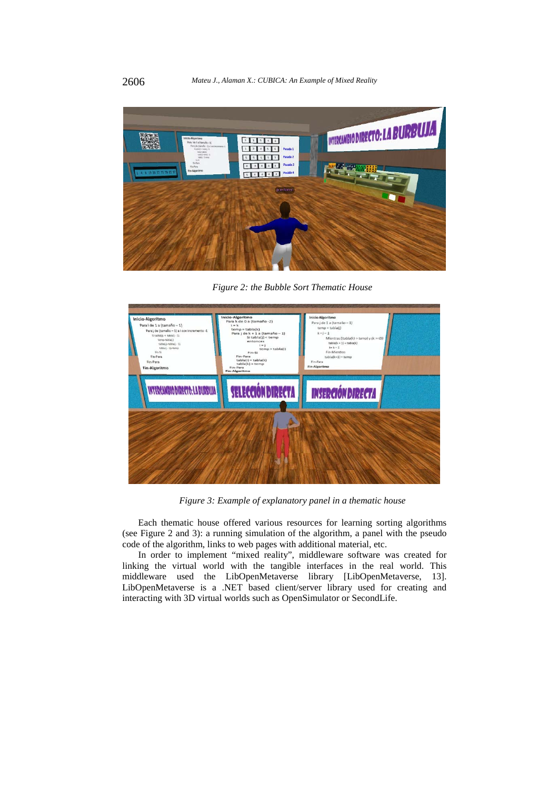

*Figure 2: the Bubble Sort Thematic House* 



*Figure 3: Example of explanatory panel in a thematic house* 

Each thematic house offered various resources for learning sorting algorithms (see Figure 2 and 3): a running simulation of the algorithm, a panel with the pseudo code of the algorithm, links to web pages with additional material, etc.

In order to implement "mixed reality", middleware software was created for linking the virtual world with the tangible interfaces in the real world. This middleware used the LibOpenMetaverse library [LibOpenMetaverse, 13]. LibOpenMetaverse is a .NET based client/server library used for creating and interacting with 3D virtual worlds such as OpenSimulator or SecondLife.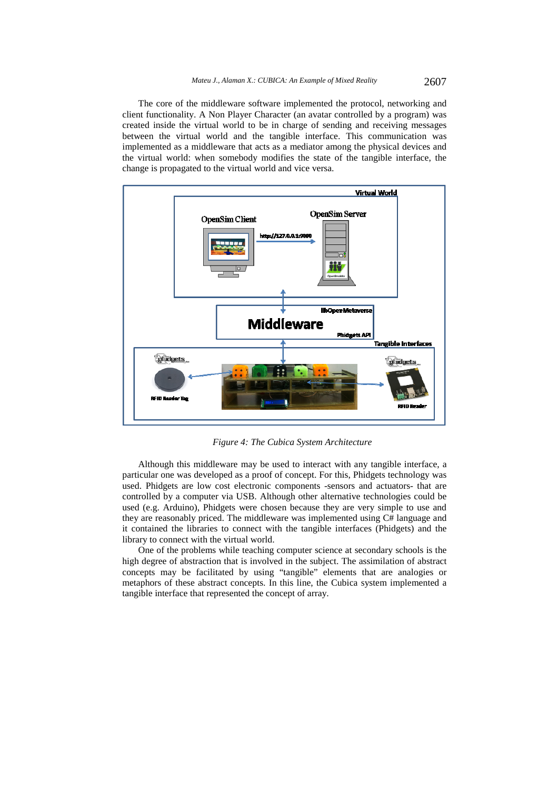The core of the middleware software implemented the protocol, networking and client functionality. A Non Player Character (an avatar controlled by a program) was created inside the virtual world to be in charge of sending and receiving messages between the virtual world and the tangible interface. This communication was implemented as a middleware that acts as a mediator among the physical devices and the virtual world: when somebody modifies the state of the tangible interface, the change is propagated to the virtual world and vice versa.



*Figure 4: The Cubica System Architecture* 

Although this middleware may be used to interact with any tangible interface, a particular one was developed as a proof of concept. For this, Phidgets technology was used. Phidgets are low cost electronic components -sensors and actuators- that are controlled by a computer via USB. Although other alternative technologies could be used (e.g. Arduino), Phidgets were chosen because they are very simple to use and they are reasonably priced. The middleware was implemented using C# language and it contained the libraries to connect with the tangible interfaces (Phidgets) and the library to connect with the virtual world.

One of the problems while teaching computer science at secondary schools is the high degree of abstraction that is involved in the subject. The assimilation of abstract concepts may be facilitated by using "tangible" elements that are analogies or metaphors of these abstract concepts. In this line, the Cubica system implemented a tangible interface that represented the concept of array.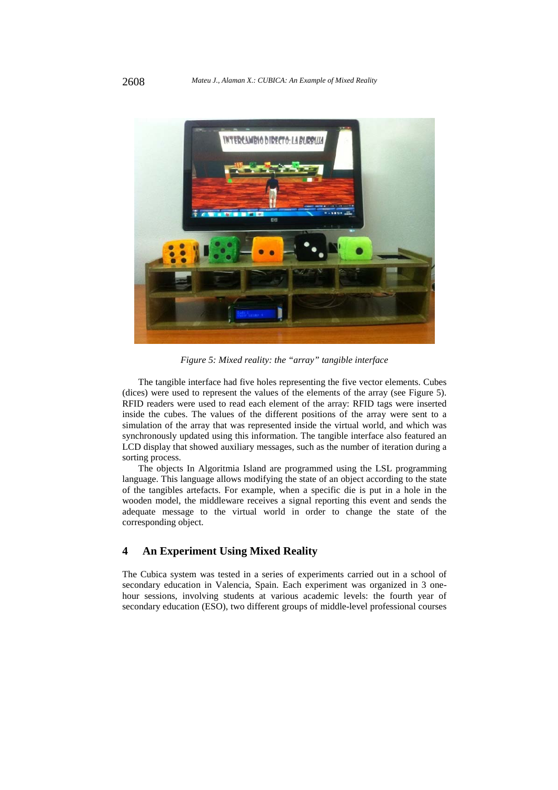

*Figure 5: Mixed reality: the "array" tangible interface* 

The tangible interface had five holes representing the five vector elements. Cubes (dices) were used to represent the values of the elements of the array (see Figure 5). RFID readers were used to read each element of the array: RFID tags were inserted inside the cubes. The values of the different positions of the array were sent to a simulation of the array that was represented inside the virtual world, and which was synchronously updated using this information. The tangible interface also featured an LCD display that showed auxiliary messages, such as the number of iteration during a sorting process.

The objects In Algoritmia Island are programmed using the LSL programming language. This language allows modifying the state of an object according to the state of the tangibles artefacts. For example, when a specific die is put in a hole in the wooden model, the middleware receives a signal reporting this event and sends the adequate message to the virtual world in order to change the state of the corresponding object.

## **4 An Experiment Using Mixed Reality**

The Cubica system was tested in a series of experiments carried out in a school of secondary education in Valencia, Spain. Each experiment was organized in 3 onehour sessions, involving students at various academic levels: the fourth year of secondary education (ESO), two different groups of middle-level professional courses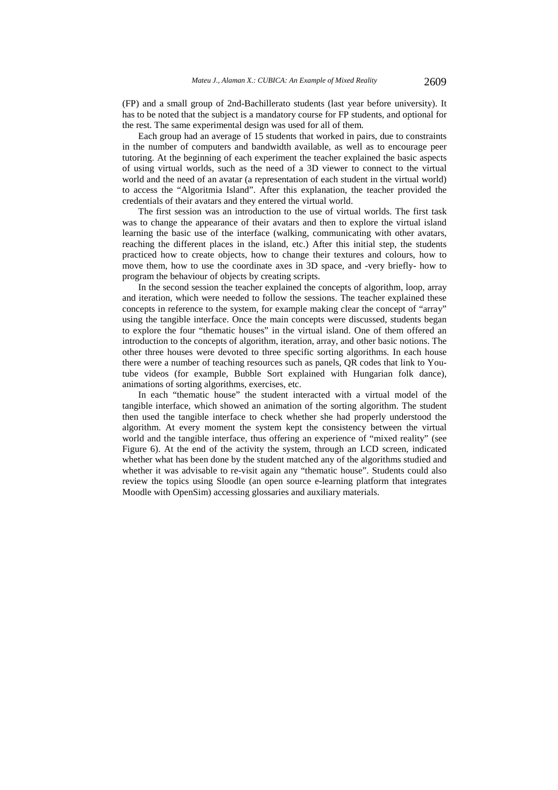(FP) and a small group of 2nd-Bachillerato students (last year before university). It has to be noted that the subject is a mandatory course for FP students, and optional for the rest. The same experimental design was used for all of them.

Each group had an average of 15 students that worked in pairs, due to constraints in the number of computers and bandwidth available, as well as to encourage peer tutoring. At the beginning of each experiment the teacher explained the basic aspects of using virtual worlds, such as the need of a 3D viewer to connect to the virtual world and the need of an avatar (a representation of each student in the virtual world) to access the "Algoritmia Island". After this explanation, the teacher provided the credentials of their avatars and they entered the virtual world.

The first session was an introduction to the use of virtual worlds. The first task was to change the appearance of their avatars and then to explore the virtual island learning the basic use of the interface (walking, communicating with other avatars, reaching the different places in the island, etc.) After this initial step, the students practiced how to create objects, how to change their textures and colours, how to move them, how to use the coordinate axes in 3D space, and -very briefly- how to program the behaviour of objects by creating scripts.

In the second session the teacher explained the concepts of algorithm, loop, array and iteration, which were needed to follow the sessions. The teacher explained these concepts in reference to the system, for example making clear the concept of "array" using the tangible interface. Once the main concepts were discussed, students began to explore the four "thematic houses" in the virtual island. One of them offered an introduction to the concepts of algorithm, iteration, array, and other basic notions. The other three houses were devoted to three specific sorting algorithms. In each house there were a number of teaching resources such as panels, QR codes that link to Youtube videos (for example, Bubble Sort explained with Hungarian folk dance), animations of sorting algorithms, exercises, etc.

In each "thematic house" the student interacted with a virtual model of the tangible interface, which showed an animation of the sorting algorithm. The student then used the tangible interface to check whether she had properly understood the algorithm. At every moment the system kept the consistency between the virtual world and the tangible interface, thus offering an experience of "mixed reality" (see Figure 6). At the end of the activity the system, through an LCD screen, indicated whether what has been done by the student matched any of the algorithms studied and whether it was advisable to re-visit again any "thematic house". Students could also review the topics using Sloodle (an open source e-learning platform that integrates Moodle with OpenSim) accessing glossaries and auxiliary materials.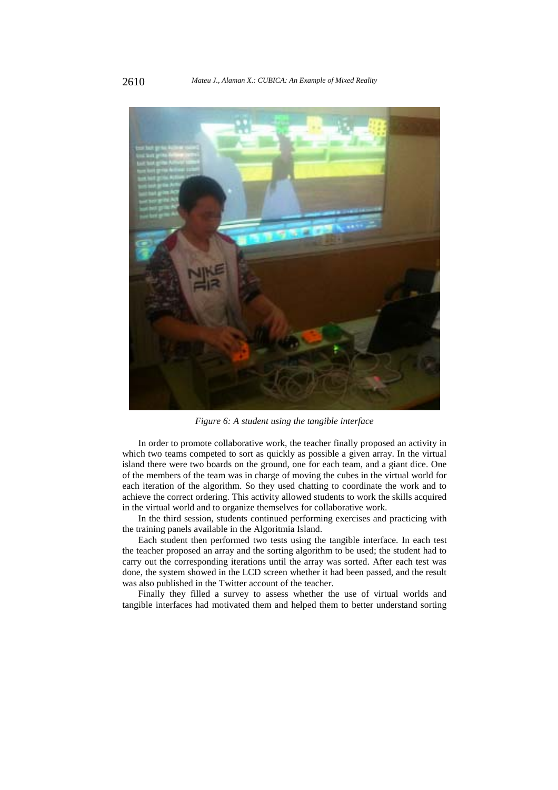

*Figure 6: A student using the tangible interface* 

In order to promote collaborative work, the teacher finally proposed an activity in which two teams competed to sort as quickly as possible a given array. In the virtual island there were two boards on the ground, one for each team, and a giant dice. One of the members of the team was in charge of moving the cubes in the virtual world for each iteration of the algorithm. So they used chatting to coordinate the work and to achieve the correct ordering. This activity allowed students to work the skills acquired in the virtual world and to organize themselves for collaborative work.

In the third session, students continued performing exercises and practicing with the training panels available in the Algoritmia Island.

Each student then performed two tests using the tangible interface. In each test the teacher proposed an array and the sorting algorithm to be used; the student had to carry out the corresponding iterations until the array was sorted. After each test was done, the system showed in the LCD screen whether it had been passed, and the result was also published in the Twitter account of the teacher.

Finally they filled a survey to assess whether the use of virtual worlds and tangible interfaces had motivated them and helped them to better understand sorting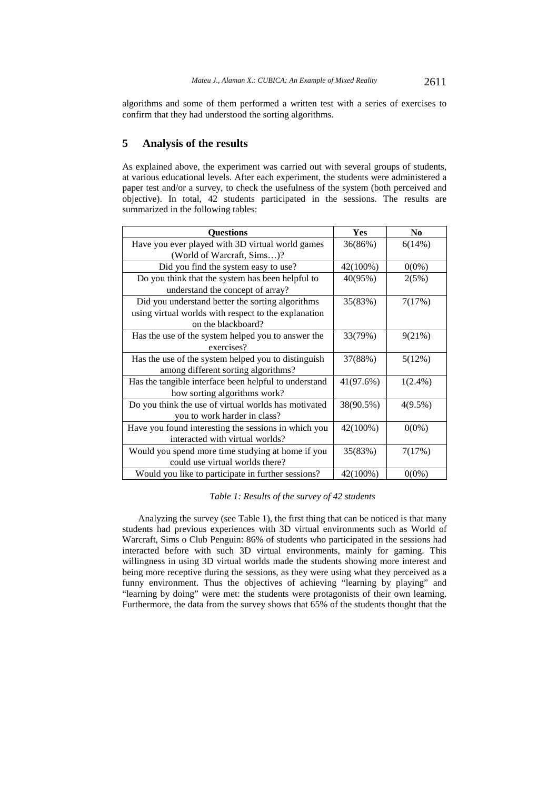algorithms and some of them performed a written test with a series of exercises to confirm that they had understood the sorting algorithms.

## **5 Analysis of the results**

As explained above, the experiment was carried out with several groups of students, at various educational levels. After each experiment, the students were administered a paper test and/or a survey, to check the usefulness of the system (both perceived and objective). In total, 42 students participated in the sessions. The results are summarized in the following tables:

| <b>Questions</b>                                      | Yes       | N <sub>0</sub> |
|-------------------------------------------------------|-----------|----------------|
| Have you ever played with 3D virtual world games      | 36(86%)   | 6(14%)         |
| (World of Warcraft, Sims)?                            |           |                |
| Did you find the system easy to use?                  | 42(100%)  | $0(0\%)$       |
| Do you think that the system has been helpful to      | 40(95%)   | 2(5%)          |
| understand the concept of array?                      |           |                |
| Did you understand better the sorting algorithms      | 35(83%)   | 7(17%)         |
| using virtual worlds with respect to the explanation  |           |                |
| on the blackboard?                                    |           |                |
| Has the use of the system helped you to answer the    | 33(79%)   | 9(21%)         |
| exercises?                                            |           |                |
| Has the use of the system helped you to distinguish   | 37(88%)   | 5(12%)         |
| among different sorting algorithms?                   |           |                |
| Has the tangible interface been helpful to understand | 41(97.6%) | $1(2.4\%)$     |
| how sorting algorithms work?                          |           |                |
| Do you think the use of virtual worlds has motivated  | 38(90.5%) | $4(9.5\%)$     |
| you to work harder in class?                          |           |                |
| Have you found interesting the sessions in which you  | 42(100%)  | $0(0\%)$       |
| interacted with virtual worlds?                       |           |                |
| Would you spend more time studying at home if you     | 35(83%)   | 7(17%)         |
| could use virtual worlds there?                       |           |                |
| Would you like to participate in further sessions?    | 42(100%)  | $0(0\%)$       |

#### *Table 1: Results of the survey of 42 students*

Analyzing the survey (see Table 1), the first thing that can be noticed is that many students had previous experiences with 3D virtual environments such as World of Warcraft, Sims o Club Penguin: 86% of students who participated in the sessions had interacted before with such 3D virtual environments, mainly for gaming. This willingness in using 3D virtual worlds made the students showing more interest and being more receptive during the sessions, as they were using what they perceived as a funny environment. Thus the objectives of achieving "learning by playing" and "learning by doing" were met: the students were protagonists of their own learning. Furthermore, the data from the survey shows that 65% of the students thought that the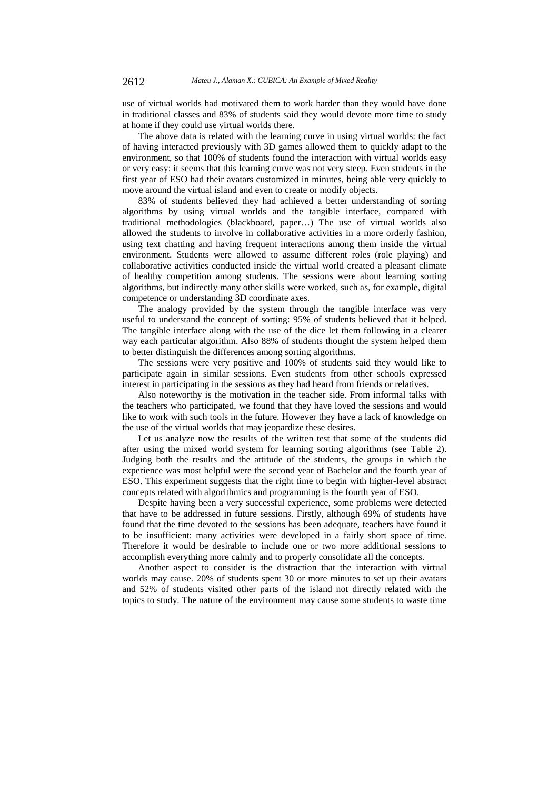use of virtual worlds had motivated them to work harder than they would have done in traditional classes and 83% of students said they would devote more time to study at home if they could use virtual worlds there.

The above data is related with the learning curve in using virtual worlds: the fact of having interacted previously with 3D games allowed them to quickly adapt to the environment, so that 100% of students found the interaction with virtual worlds easy or very easy: it seems that this learning curve was not very steep. Even students in the first year of ESO had their avatars customized in minutes, being able very quickly to move around the virtual island and even to create or modify objects.

83% of students believed they had achieved a better understanding of sorting algorithms by using virtual worlds and the tangible interface, compared with traditional methodologies (blackboard, paper…) The use of virtual worlds also allowed the students to involve in collaborative activities in a more orderly fashion, using text chatting and having frequent interactions among them inside the virtual environment. Students were allowed to assume different roles (role playing) and collaborative activities conducted inside the virtual world created a pleasant climate of healthy competition among students. The sessions were about learning sorting algorithms, but indirectly many other skills were worked, such as, for example, digital competence or understanding 3D coordinate axes.

The analogy provided by the system through the tangible interface was very useful to understand the concept of sorting: 95% of students believed that it helped. The tangible interface along with the use of the dice let them following in a clearer way each particular algorithm. Also 88% of students thought the system helped them to better distinguish the differences among sorting algorithms.

The sessions were very positive and 100% of students said they would like to participate again in similar sessions. Even students from other schools expressed interest in participating in the sessions as they had heard from friends or relatives.

Also noteworthy is the motivation in the teacher side. From informal talks with the teachers who participated, we found that they have loved the sessions and would like to work with such tools in the future. However they have a lack of knowledge on the use of the virtual worlds that may jeopardize these desires.

Let us analyze now the results of the written test that some of the students did after using the mixed world system for learning sorting algorithms (see Table 2). Judging both the results and the attitude of the students, the groups in which the experience was most helpful were the second year of Bachelor and the fourth year of ESO. This experiment suggests that the right time to begin with higher-level abstract concepts related with algorithmics and programming is the fourth year of ESO.

Despite having been a very successful experience, some problems were detected that have to be addressed in future sessions. Firstly, although 69% of students have found that the time devoted to the sessions has been adequate, teachers have found it to be insufficient: many activities were developed in a fairly short space of time. Therefore it would be desirable to include one or two more additional sessions to accomplish everything more calmly and to properly consolidate all the concepts.

Another aspect to consider is the distraction that the interaction with virtual worlds may cause. 20% of students spent 30 or more minutes to set up their avatars and 52% of students visited other parts of the island not directly related with the topics to study. The nature of the environment may cause some students to waste time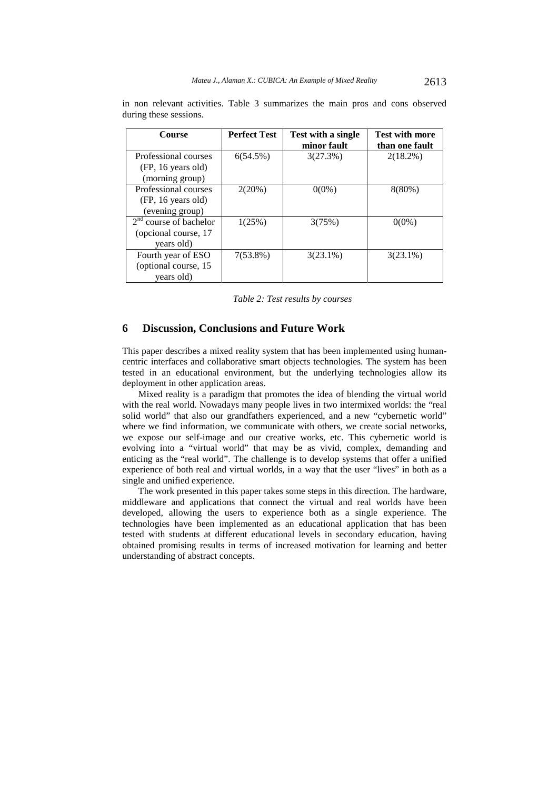| <b>Course</b>            | <b>Perfect Test</b> | Test with a single<br>minor fault | <b>Test with more</b><br>than one fault |
|--------------------------|---------------------|-----------------------------------|-----------------------------------------|
| Professional courses     | 6(54.5%)            | 3(27.3%)                          | $2(18.2\%)$                             |
| (FP, 16 years old)       |                     |                                   |                                         |
| (morning group)          |                     |                                   |                                         |
| Professional courses     | 2(20%)              | $0(0\%)$                          | $8(80\%)$                               |
| (FP, 16 years old)       |                     |                                   |                                         |
| (evening group)          |                     |                                   |                                         |
| $2nd$ course of bachelor | 1(25%)              | 3(75%)                            | $0(0\%)$                                |
| (opcional course, 17     |                     |                                   |                                         |
| years old)               |                     |                                   |                                         |
| Fourth year of ESO       | $7(53.8\%)$         | $3(23.1\%)$                       | $3(23.1\%)$                             |
| (optional course, 15)    |                     |                                   |                                         |
| years old)               |                     |                                   |                                         |

in non relevant activities. Table 3 summarizes the main pros and cons observed during these sessions.

*Table 2: Test results by courses* 

#### **6 Discussion, Conclusions and Future Work**

This paper describes a mixed reality system that has been implemented using humancentric interfaces and collaborative smart objects technologies. The system has been tested in an educational environment, but the underlying technologies allow its deployment in other application areas.

Mixed reality is a paradigm that promotes the idea of blending the virtual world with the real world. Nowadays many people lives in two intermixed worlds: the "real solid world" that also our grandfathers experienced, and a new "cybernetic world" where we find information, we communicate with others, we create social networks, we expose our self-image and our creative works, etc. This cybernetic world is evolving into a "virtual world" that may be as vivid, complex, demanding and enticing as the "real world". The challenge is to develop systems that offer a unified experience of both real and virtual worlds, in a way that the user "lives" in both as a single and unified experience.

The work presented in this paper takes some steps in this direction. The hardware, middleware and applications that connect the virtual and real worlds have been developed, allowing the users to experience both as a single experience. The technologies have been implemented as an educational application that has been tested with students at different educational levels in secondary education, having obtained promising results in terms of increased motivation for learning and better understanding of abstract concepts.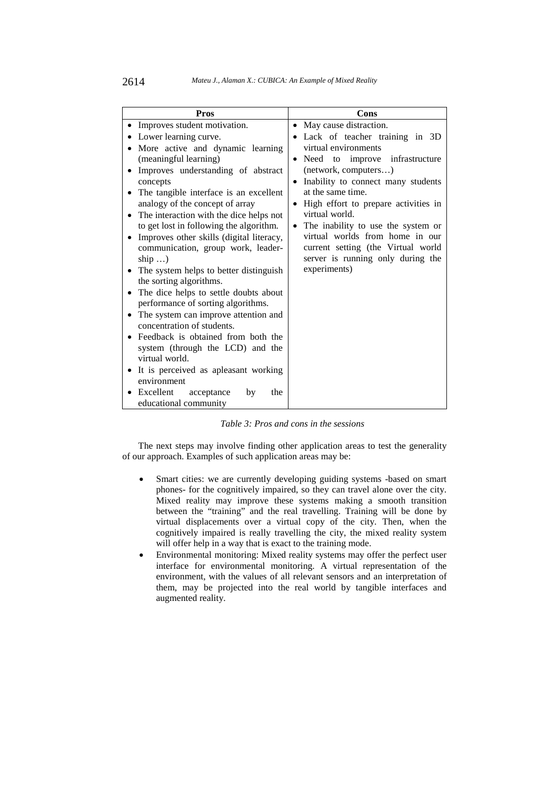| <b>Pros</b>                                                      | <b>Cons</b>                                       |
|------------------------------------------------------------------|---------------------------------------------------|
| Improves student motivation.                                     | May cause distraction.<br>٠                       |
| Lower learning curve.                                            | Lack of teacher training in 3D                    |
| More active and dynamic learning                                 | virtual environments                              |
| (meaningful learning)                                            | Need to improve infrastructure<br>$\bullet$       |
| Improves understanding of abstract                               | (network, computers)                              |
| concepts                                                         | Inability to connect many students<br>$\bullet$   |
| The tangible interface is an excellent                           | at the same time.                                 |
| analogy of the concept of array                                  | High effort to prepare activities in<br>$\bullet$ |
| The interaction with the dice helps not                          | virtual world.                                    |
| to get lost in following the algorithm.                          | The inability to use the system or<br>$\bullet$   |
| Improves other skills (digital literacy,                         | virtual worlds from home in our                   |
| communication, group work, leader-                               | current setting (the Virtual world                |
| ship $\ldots$ )                                                  | server is running only during the<br>experiments) |
| The system helps to better distinguish                           |                                                   |
| the sorting algorithms.<br>The dice helps to settle doubts about |                                                   |
| performance of sorting algorithms.                               |                                                   |
| The system can improve attention and                             |                                                   |
| concentration of students.                                       |                                                   |
| Feedback is obtained from both the                               |                                                   |
| system (through the LCD) and the                                 |                                                   |
| virtual world.                                                   |                                                   |
| It is perceived as apleasant working                             |                                                   |
| environment                                                      |                                                   |
| Excellent<br>acceptance<br>the<br>by                             |                                                   |
| educational community                                            |                                                   |

*Table 3: Pros and cons in the sessions* 

The next steps may involve finding other application areas to test the generality of our approach. Examples of such application areas may be:

- Smart cities: we are currently developing guiding systems -based on smart phones- for the cognitively impaired, so they can travel alone over the city. Mixed reality may improve these systems making a smooth transition between the "training" and the real travelling. Training will be done by virtual displacements over a virtual copy of the city. Then, when the cognitively impaired is really travelling the city, the mixed reality system will offer help in a way that is exact to the training mode.
- Environmental monitoring: Mixed reality systems may offer the perfect user interface for environmental monitoring. A virtual representation of the environment, with the values of all relevant sensors and an interpretation of them, may be projected into the real world by tangible interfaces and augmented reality.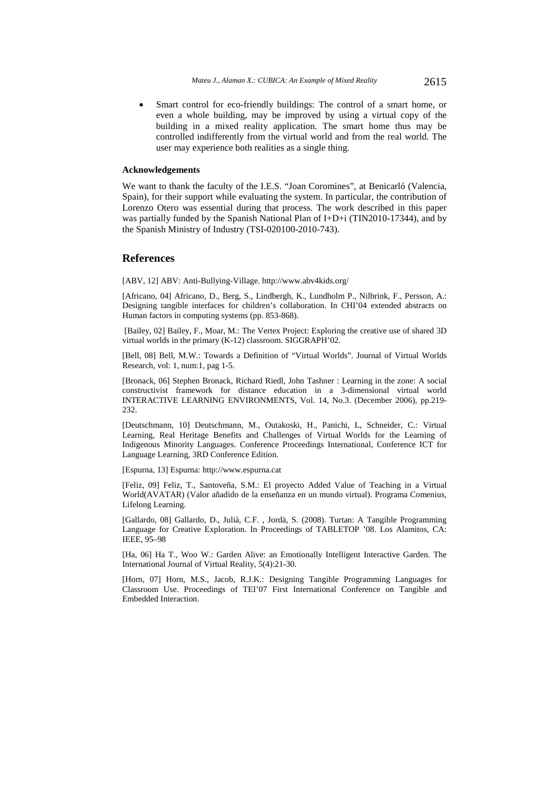Smart control for eco-friendly buildings: The control of a smart home, or even a whole building, may be improved by using a virtual copy of the building in a mixed reality application. The smart home thus may be controlled indifferently from the virtual world and from the real world. The user may experience both realities as a single thing.

#### **Acknowledgements**

We want to thank the faculty of the I.E.S. "Joan Coromines", at Benicarló (Valencia, Spain), for their support while evaluating the system. In particular, the contribution of Lorenzo Otero was essential during that process. The work described in this paper was partially funded by the Spanish National Plan of  $I+D+i$  (TIN2010-17344), and by the Spanish Ministry of Industry (TSI-020100-2010-743).

#### **References**

[ABV, 12] ABV: Anti-Bullying-Village. http://www.abv4kids.org/

[Africano, 04] Africano, D., Berg, S., Lindbergh, K., Lundholm P., Nilbrink, F., Persson, A.: Designing tangible interfaces for children's collaboration. In CHI'04 extended abstracts on Human factors in computing systems (pp. 853-868).

 [Bailey, 02] Bailey, F., Moar, M.: The Vertex Project: Exploring the creative use of shared 3D virtual worlds in the primary (K-12) classroom. SIGGRAPH'02.

[Bell, 08] Bell, M.W.: Towards a Definition of "Virtual Worlds". Journal of Virtual Worlds Research, vol: 1, num:1, pag 1-5.

[Bronack, 06] Stephen Bronack, Richard Riedl, John Tashner : Learning in the zone: A social constructivist framework for distance education in a 3-dimensional virtual world INTERACTIVE LEARNING ENVIRONMENTS, Vol. 14, No.3. (December 2006), pp.219- 232.

[Deutschmann, 10] Deutschmann, M., Outakoski, H., Panichi, L, Schneider, C.: Virtual Learning, Real Heritage Benefits and Challenges of Virtual Worlds for the Learning of Indigenous Minority Languages. Conference Proceedings International, Conference ICT for Language Learning, 3RD Conference Edition.

[Espurna, 13] Espurna: http://www.espurna.cat

[Feliz, 09] Feliz, T., Santoveña, S.M.: El proyecto Added Value of Teaching in a Virtual World(AVATAR) (Valor añadido de la enseñanza en un mundo virtual). Programa Comenius, Lifelong Learning.

[Gallardo, 08] Gallardo, D., Julià, C.F. , Jordà, S. (2008). Turtan: A Tangible Programming Language for Creative Exploration. In Proceedings of TABLETOP '08. Los Alamitos, CA: IEEE, 95–98

[Ha, 06] Ha T., Woo W.: Garden Alive: an Emotionally Intelligent Interactive Garden. The International Journal of Virtual Reality, 5(4):21-30.

[Horn, 07] Horn, M.S., Jacob, R.J.K.: Designing Tangible Programming Languages for Classroom Use. Proceedings of TEI'07 First International Conference on Tangible and Embedded Interaction.